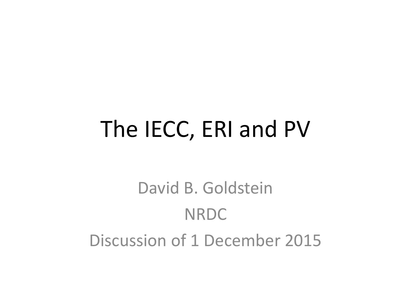### The IECC, ERI and PV

David B. Goldstein NRDC Discussion of 1 December 2015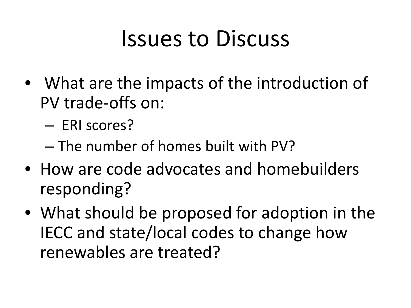### Issues to Discuss

- What are the impacts of the introduction of PV trade-offs on:
	- ERI scores?
	- The number of homes built with PV?
- How are code advocates and homebuilders responding?
- What should be proposed for adoption in the IECC and state/local codes to change how renewables are treated?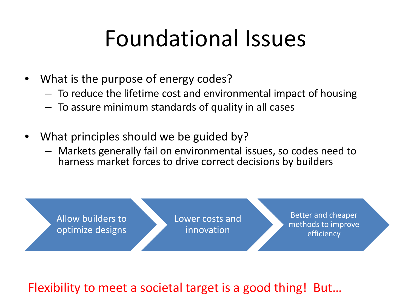### Foundational Issues

- What is the purpose of energy codes?
	- To reduce the lifetime cost and environmental impact of housing
	- To assure minimum standards of quality in all cases
- What principles should we be guided by?
	- Markets generally fail on environmental issues, so codes need to harness market forces to drive correct decisions by builders



Flexibility to meet a societal target is a good thing! But…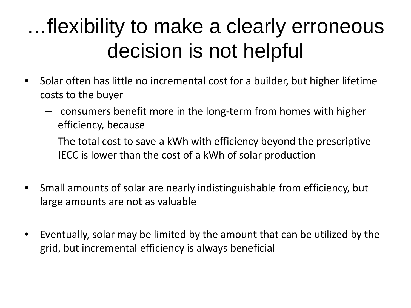#### …flexibility to make a clearly erroneous decision is not helpful

- Solar often has little no incremental cost for a builder, but higher lifetime costs to the buyer
	- consumers benefit more in the long-term from homes with higher efficiency, because
	- The total cost to save a kWh with efficiency beyond the prescriptive IECC is lower than the cost of a kWh of solar production
- Small amounts of solar are nearly indistinguishable from efficiency, but large amounts are not as valuable
- Eventually, solar may be limited by the amount that can be utilized by the grid, but incremental efficiency is always beneficial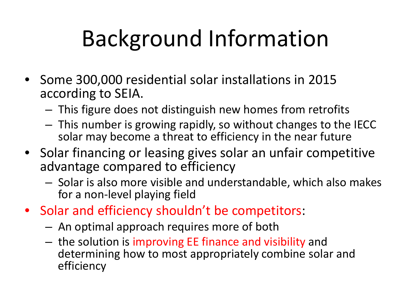# Background Information

- Some 300,000 residential solar installations in 2015 according to SEIA.
	- This figure does not distinguish new homes from retrofits
	- This number is growing rapidly, so without changes to the IECC solar may become a threat to efficiency in the near future
- Solar financing or leasing gives solar an unfair competitive advantage compared to efficiency
	- Solar is also more visible and understandable, which also makes for a non-level playing field
- Solar and efficiency shouldn't be competitors:
	- An optimal approach requires more of both
	- the solution is improving EE finance and visibility and determining how to most appropriately combine solar and efficiency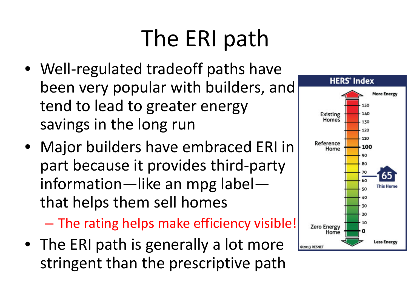# The ERI path

- Well-regulated tradeoff paths have been very popular with builders, and tend to lead to greater energy savings in the long run
- Major builders have embraced ERI in part because it provides third-party information—like an mpg label that helps them sell homes

– The rating helps make efficiency visible!

• The ERI path is generally a lot more stringent than the prescriptive path

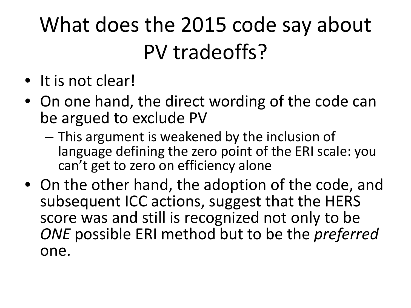### What does the 2015 code say about PV tradeoffs?

- It is not clear!
- On one hand, the direct wording of the code can be argued to exclude PV
	- This argument is weakened by the inclusion of language defining the zero point of the ERI scale: you can't get to zero on efficiency alone
- On the other hand, the adoption of the code, and subsequent ICC actions, suggest that the HERS score was and still is recognized not only to be *ONE* possible ERI method but to be the *preferred* one.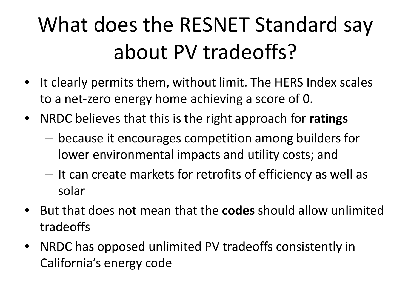# What does the RESNET Standard say about PV tradeoffs?

- It clearly permits them, without limit. The HERS Index scales to a net-zero energy home achieving a score of 0.
- NRDC believes that this is the right approach for **ratings** 
	- because it encourages competition among builders for lower environmental impacts and utility costs; and
	- It can create markets for retrofits of efficiency as well as solar
- But that does not mean that the **codes** should allow unlimited tradeoffs
- NRDC has opposed unlimited PV tradeoffs consistently in California's energy code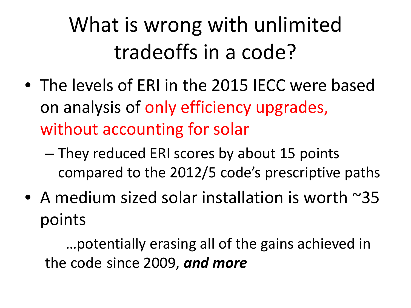# What is wrong with unlimited tradeoffs in a code?

- The levels of ERI in the 2015 IECC were based on analysis of only efficiency upgrades, without accounting for solar
	- They reduced ERI scores by about 15 points compared to the 2012/5 code's prescriptive paths
- A medium sized solar installation is worth ~35 points

…potentially erasing all of the gains achieved in the code since 2009, *and more*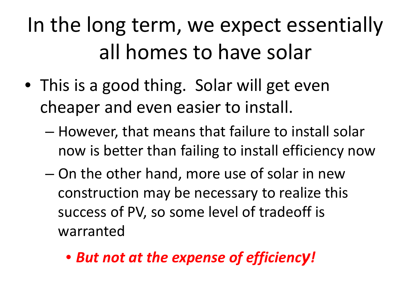## In the long term, we expect essentially all homes to have solar

- This is a good thing. Solar will get even cheaper and even easier to install.
	- However, that means that failure to install solar now is better than failing to install efficiency now
	- On the other hand, more use of solar in new construction may be necessary to realize this success of PV, so some level of tradeoff is warranted
		- *But not at the expense of efficiency!*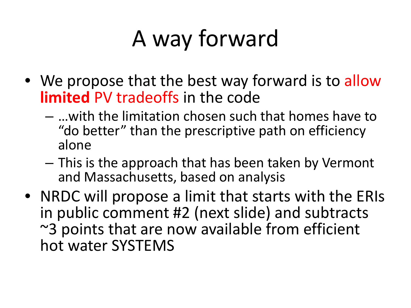# A way forward

- We propose that the best way forward is to allow **limited** PV tradeoffs in the code
	- …with the limitation chosen such that homes have to "do better" than the prescriptive path on efficiency alone
	- This is the approach that has been taken by Vermont and Massachusetts, based on analysis
- NRDC will propose a limit that starts with the ERIs in public comment #2 (next slide) and subtracts ~3 points that are now available from efficient hot water SYSTEMS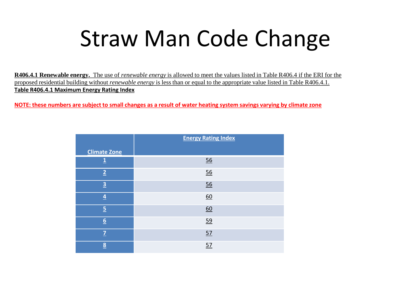# Straw Man Code Change

**R406.4.1 Renewable energy.** The use of *renewable energy* is allowed to meet the values listed in Table R406.4 if the ERI for the proposed residential building without *renewable energy* is less than or equal to the appropriate value listed in Table R406.4.1. **Table R406.4.1 Maximum Energy Rating Index**

**NOTE: these numbers are subject to small changes as a result of water heating system savings varying by climate zone**

|                         | <b>Energy Rating Index</b> |
|-------------------------|----------------------------|
| <b>Climate Zone</b>     |                            |
| <u>1</u>                | 56                         |
| $\overline{2}$          | 56                         |
| $\overline{3}$          | 56                         |
| $\overline{4}$          | 60                         |
| $\overline{5}$          | 60                         |
| $6 \overline{6}$        | 59                         |
| $\overline{7}$          | 57                         |
| $\overline{\mathbf{8}}$ | 57                         |